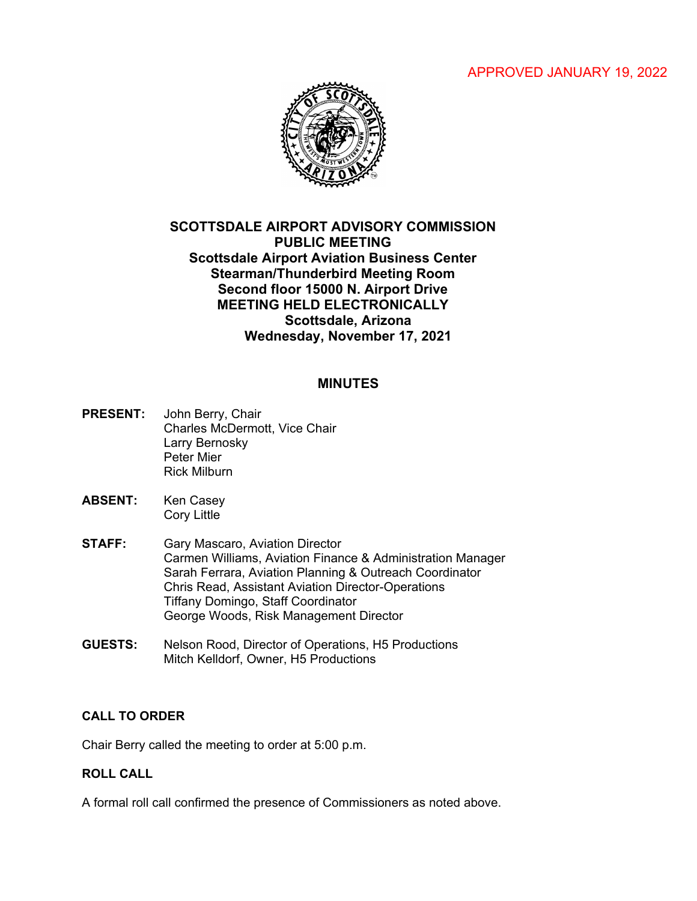APPROVED JANUARY 19, 2022



# **SCOTTSDALE AIRPORT ADVISORY COMMISSION PUBLIC MEETING Scottsdale Airport Aviation Business Center Stearman/Thunderbird Meeting Room Second floor 15000 N. Airport Drive MEETING HELD ELECTRONICALLY Scottsdale, Arizona Wednesday, November 17, 2021**

# **MINUTES**

- **PRESENT:** John Berry, Chair Charles McDermott, Vice Chair Larry Bernosky Peter Mier Rick Milburn
- **ABSENT:** Ken Casey Cory Little
- **STAFF:** Gary Mascaro, Aviation Director Carmen Williams, Aviation Finance & Administration Manager Sarah Ferrara, Aviation Planning & Outreach Coordinator Chris Read, Assistant Aviation Director-Operations Tiffany Domingo, Staff Coordinator George Woods, Risk Management Director
- **GUESTS:** Nelson Rood, Director of Operations, H5 Productions Mitch Kelldorf, Owner, H5 Productions

## **CALL TO ORDER**

Chair Berry called the meeting to order at 5:00 p.m.

## **ROLL CALL**

A formal roll call confirmed the presence of Commissioners as noted above.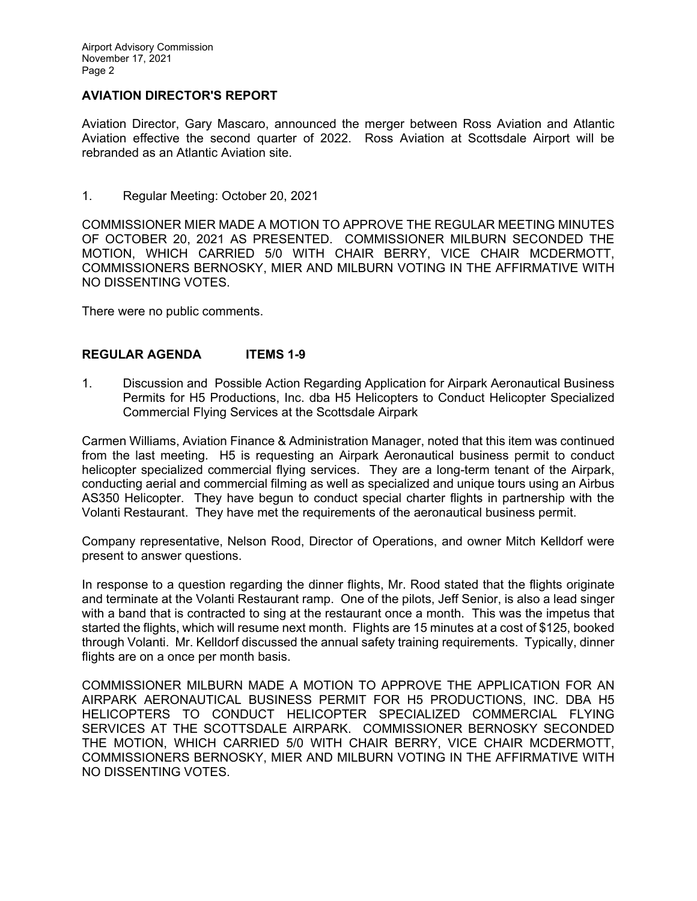## **AVIATION DIRECTOR'S REPORT**

Aviation Director, Gary Mascaro, announced the merger between Ross Aviation and Atlantic Aviation effective the second quarter of 2022. Ross Aviation at Scottsdale Airport will be rebranded as an Atlantic Aviation site.

1. Regular Meeting: October 20, 2021

COMMISSIONER MIER MADE A MOTION TO APPROVE THE REGULAR MEETING MINUTES OF OCTOBER 20, 2021 AS PRESENTED. COMMISSIONER MILBURN SECONDED THE MOTION, WHICH CARRIED 5/0 WITH CHAIR BERRY, VICE CHAIR MCDERMOTT, COMMISSIONERS BERNOSKY, MIER AND MILBURN VOTING IN THE AFFIRMATIVE WITH NO DISSENTING VOTES.

There were no public comments.

### **REGULAR AGENDA ITEMS 1-9**

1. Discussion and Possible Action Regarding Application for Airpark Aeronautical Business Permits for H5 Productions, Inc. dba H5 Helicopters to Conduct Helicopter Specialized Commercial Flying Services at the Scottsdale Airpark

Carmen Williams, Aviation Finance & Administration Manager, noted that this item was continued from the last meeting. H5 is requesting an Airpark Aeronautical business permit to conduct helicopter specialized commercial flying services. They are a long-term tenant of the Airpark, conducting aerial and commercial filming as well as specialized and unique tours using an Airbus AS350 Helicopter. They have begun to conduct special charter flights in partnership with the Volanti Restaurant. They have met the requirements of the aeronautical business permit.

Company representative, Nelson Rood, Director of Operations, and owner Mitch Kelldorf were present to answer questions.

In response to a question regarding the dinner flights, Mr. Rood stated that the flights originate and terminate at the Volanti Restaurant ramp. One of the pilots, Jeff Senior, is also a lead singer with a band that is contracted to sing at the restaurant once a month. This was the impetus that started the flights, which will resume next month. Flights are 15 minutes at a cost of \$125, booked through Volanti. Mr. Kelldorf discussed the annual safety training requirements. Typically, dinner flights are on a once per month basis.

COMMISSIONER MILBURN MADE A MOTION TO APPROVE THE APPLICATION FOR AN AIRPARK AERONAUTICAL BUSINESS PERMIT FOR H5 PRODUCTIONS, INC. DBA H5 HELICOPTERS TO CONDUCT HELICOPTER SPECIALIZED COMMERCIAL FLYING SERVICES AT THE SCOTTSDALE AIRPARK. COMMISSIONER BERNOSKY SECONDED THE MOTION, WHICH CARRIED 5/0 WITH CHAIR BERRY, VICE CHAIR MCDERMOTT, COMMISSIONERS BERNOSKY, MIER AND MILBURN VOTING IN THE AFFIRMATIVE WITH NO DISSENTING VOTES.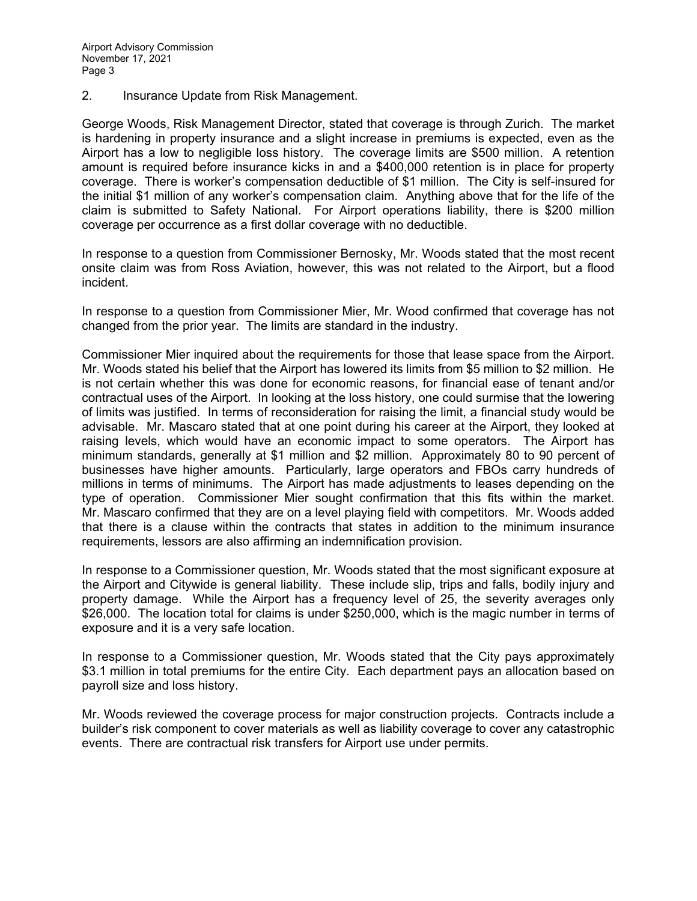2. Insurance Update from Risk Management.

George Woods, Risk Management Director, stated that coverage is through Zurich. The market is hardening in property insurance and a slight increase in premiums is expected, even as the Airport has a low to negligible loss history. The coverage limits are \$500 million. A retention amount is required before insurance kicks in and a \$400,000 retention is in place for property coverage. There is worker's compensation deductible of \$1 million. The City is self-insured for the initial \$1 million of any worker's compensation claim. Anything above that for the life of the claim is submitted to Safety National. For Airport operations liability, there is \$200 million coverage per occurrence as a first dollar coverage with no deductible.

In response to a question from Commissioner Bernosky, Mr. Woods stated that the most recent onsite claim was from Ross Aviation, however, this was not related to the Airport, but a flood incident.

In response to a question from Commissioner Mier, Mr. Wood confirmed that coverage has not changed from the prior year. The limits are standard in the industry.

Commissioner Mier inquired about the requirements for those that lease space from the Airport. Mr. Woods stated his belief that the Airport has lowered its limits from \$5 million to \$2 million. He is not certain whether this was done for economic reasons, for financial ease of tenant and/or contractual uses of the Airport. In looking at the loss history, one could surmise that the lowering of limits was justified. In terms of reconsideration for raising the limit, a financial study would be advisable. Mr. Mascaro stated that at one point during his career at the Airport, they looked at raising levels, which would have an economic impact to some operators. The Airport has minimum standards, generally at \$1 million and \$2 million. Approximately 80 to 90 percent of businesses have higher amounts. Particularly, large operators and FBOs carry hundreds of millions in terms of minimums. The Airport has made adjustments to leases depending on the type of operation. Commissioner Mier sought confirmation that this fits within the market. Mr. Mascaro confirmed that they are on a level playing field with competitors. Mr. Woods added that there is a clause within the contracts that states in addition to the minimum insurance requirements, lessors are also affirming an indemnification provision.

In response to a Commissioner question, Mr. Woods stated that the most significant exposure at the Airport and Citywide is general liability. These include slip, trips and falls, bodily injury and property damage. While the Airport has a frequency level of 25, the severity averages only \$26,000. The location total for claims is under \$250,000, which is the magic number in terms of exposure and it is a very safe location.

In response to a Commissioner question, Mr. Woods stated that the City pays approximately \$3.1 million in total premiums for the entire City. Each department pays an allocation based on payroll size and loss history.

Mr. Woods reviewed the coverage process for major construction projects. Contracts include a builder's risk component to cover materials as well as liability coverage to cover any catastrophic events. There are contractual risk transfers for Airport use under permits.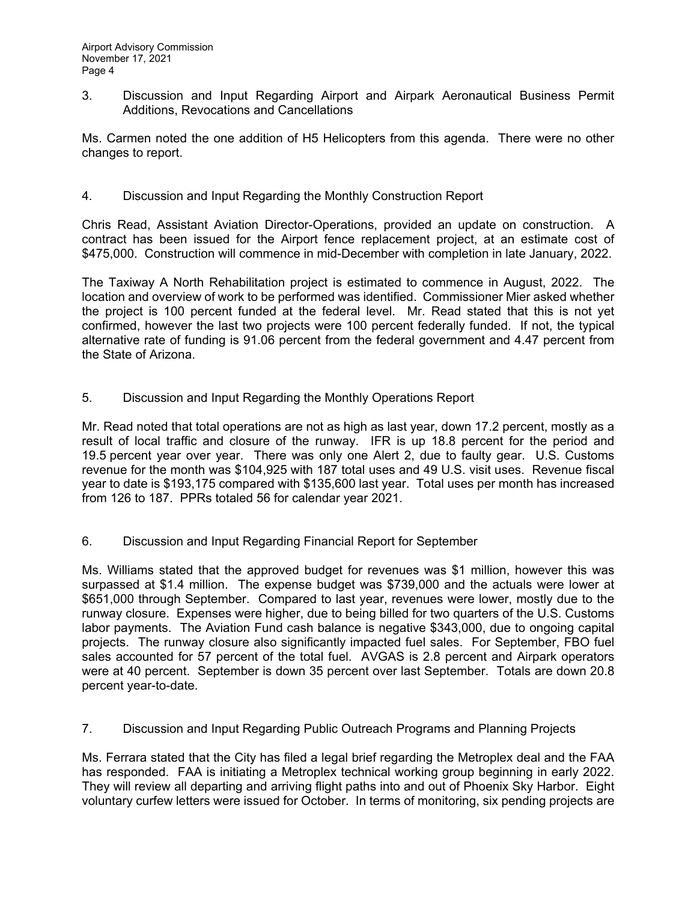3. Discussion and Input Regarding Airport and Airpark Aeronautical Business Permit Additions, Revocations and Cancellations

Ms. Carmen noted the one addition of H5 Helicopters from this agenda. There were no other changes to report.

4. Discussion and Input Regarding the Monthly Construction Report

Chris Read, Assistant Aviation Director-Operations, provided an update on construction. A contract has been issued for the Airport fence replacement project, at an estimate cost of \$475,000. Construction will commence in mid-December with completion in late January, 2022.

The Taxiway A North Rehabilitation project is estimated to commence in August, 2022. The location and overview of work to be performed was identified. Commissioner Mier asked whether the project is 100 percent funded at the federal level. Mr. Read stated that this is not yet confirmed, however the last two projects were 100 percent federally funded. If not, the typical alternative rate of funding is 91.06 percent from the federal government and 4.47 percent from the State of Arizona.

5. Discussion and Input Regarding the Monthly Operations Report

Mr. Read noted that total operations are not as high as last year, down 17.2 percent, mostly as a result of local traffic and closure of the runway. IFR is up 18.8 percent for the period and 19.5 percent year over year. There was only one Alert 2, due to faulty gear. U.S. Customs revenue for the month was \$104,925 with 187 total uses and 49 U.S. visit uses. Revenue fiscal year to date is \$193,175 compared with \$135,600 last year. Total uses per month has increased from 126 to 187. PPRs totaled 56 for calendar year 2021.

6. Discussion and Input Regarding Financial Report for September

Ms. Williams stated that the approved budget for revenues was \$1 million, however this was surpassed at \$1.4 million. The expense budget was \$739,000 and the actuals were lower at \$651,000 through September. Compared to last year, revenues were lower, mostly due to the runway closure. Expenses were higher, due to being billed for two quarters of the U.S. Customs labor payments. The Aviation Fund cash balance is negative \$343,000, due to ongoing capital projects. The runway closure also significantly impacted fuel sales. For September, FBO fuel sales accounted for 57 percent of the total fuel. AVGAS is 2.8 percent and Airpark operators were at 40 percent. September is down 35 percent over last September. Totals are down 20.8 percent year-to-date.

7. Discussion and Input Regarding Public Outreach Programs and Planning Projects

Ms. Ferrara stated that the City has filed a legal brief regarding the Metroplex deal and the FAA has responded. FAA is initiating a Metroplex technical working group beginning in early 2022. They will review all departing and arriving flight paths into and out of Phoenix Sky Harbor. Eight voluntary curfew letters were issued for October. In terms of monitoring, six pending projects are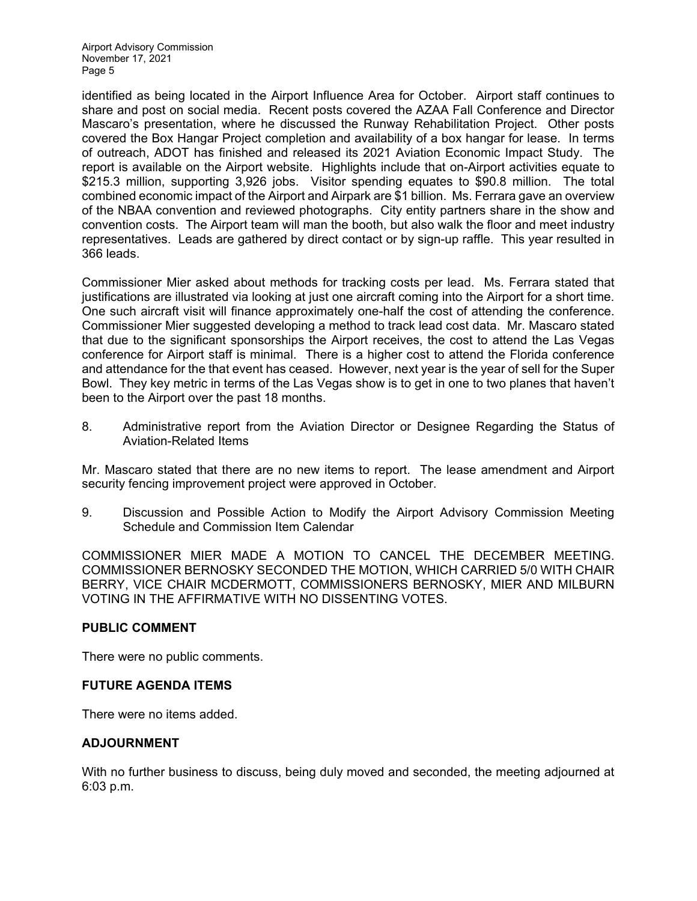Airport Advisory Commission November 17, 2021 Page 5

identified as being located in the Airport Influence Area for October. Airport staff continues to share and post on social media. Recent posts covered the AZAA Fall Conference and Director Mascaro's presentation, where he discussed the Runway Rehabilitation Project. Other posts covered the Box Hangar Project completion and availability of a box hangar for lease. In terms of outreach, ADOT has finished and released its 2021 Aviation Economic Impact Study. The report is available on the Airport website. Highlights include that on-Airport activities equate to \$215.3 million, supporting 3,926 jobs. Visitor spending equates to \$90.8 million. The total combined economic impact of the Airport and Airpark are \$1 billion. Ms. Ferrara gave an overview of the NBAA convention and reviewed photographs. City entity partners share in the show and convention costs. The Airport team will man the booth, but also walk the floor and meet industry representatives. Leads are gathered by direct contact or by sign-up raffle. This year resulted in 366 leads.

Commissioner Mier asked about methods for tracking costs per lead. Ms. Ferrara stated that justifications are illustrated via looking at just one aircraft coming into the Airport for a short time. One such aircraft visit will finance approximately one-half the cost of attending the conference. Commissioner Mier suggested developing a method to track lead cost data. Mr. Mascaro stated that due to the significant sponsorships the Airport receives, the cost to attend the Las Vegas conference for Airport staff is minimal. There is a higher cost to attend the Florida conference and attendance for the that event has ceased. However, next year is the year of sell for the Super Bowl. They key metric in terms of the Las Vegas show is to get in one to two planes that haven't been to the Airport over the past 18 months.

8. Administrative report from the Aviation Director or Designee Regarding the Status of Aviation-Related Items

Mr. Mascaro stated that there are no new items to report. The lease amendment and Airport security fencing improvement project were approved in October.

9. Discussion and Possible Action to Modify the Airport Advisory Commission Meeting Schedule and Commission Item Calendar

COMMISSIONER MIER MADE A MOTION TO CANCEL THE DECEMBER MEETING. COMMISSIONER BERNOSKY SECONDED THE MOTION, WHICH CARRIED 5/0 WITH CHAIR BERRY, VICE CHAIR MCDERMOTT, COMMISSIONERS BERNOSKY, MIER AND MILBURN VOTING IN THE AFFIRMATIVE WITH NO DISSENTING VOTES.

#### **PUBLIC COMMENT**

There were no public comments.

#### **FUTURE AGENDA ITEMS**

There were no items added.

#### **ADJOURNMENT**

With no further business to discuss, being duly moved and seconded, the meeting adjourned at 6:03 p.m.